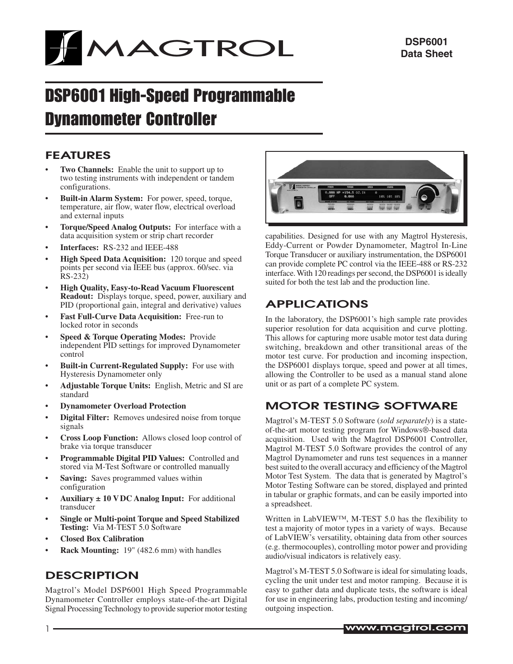

# DSP6001 High-Speed Programmable Dynamometer Controller

### FEATURES

- **Two Channels:** Enable the unit to support up to two testing instruments with independent or tandem configurations.
- **Built-in Alarm System:** For power, speed, torque, temperature, air flow, water flow, electrical overload and external inputs
- **Torque/Speed Analog Outputs:** For interface with a data acquisition system or strip chart recorder
- Interfaces: RS-232 and IEEE-488
- **High Speed Data Acquisition:** 120 torque and speed points per second via IEEE bus (approx. 60/sec. via RS-232)
- **High Quality, Easy-to-Read Vacuum Fluorescent Readout:** Displays torque, speed, power, auxiliary and PID (proportional gain, integral and derivative) values
- **Fast Full-Curve Data Acquisition:** Free-run to locked rotor in seconds
- **Speed & Torque Operating Modes: Provide** independent PID settings for improved Dynamometer control
- **Built-in Current-Regulated Supply:** For use with Hysteresis Dynamometer only
- Adjustable Torque Units: English, Metric and SI are standard
- **Dynamometer Overload Protection**
- **Digital Filter:** Removes undesired noise from torque signals
- **Cross Loop Function:** Allows closed loop control of brake via torque transducer
- **Programmable Digital PID Values:** Controlled and stored via M-Test Software or controlled manually
- **Saving:** Saves programmed values within configuration
- Auxiliary  $\pm$  10 VDC Analog Input: For additional transducer
- **Single or Multi-point Torque and Speed Stabilized Testing:** Via M-TEST 5.0 Software
- **Closed Box Calibration**
- **Rack Mounting:** 19" (482.6 mm) with handles

### **DESCRIPTION**

Magtrol's Model DSP6001 High Speed Programmable Dynamometer Controller employs state-of-the-art Digital Signal Processing Technology to provide superior motor testing



capabilities. Designed for use with any Magtrol Hysteresis, Eddy-Current or Powder Dynamometer, Magtrol In-Line Torque Transducer or auxiliary instrumentation, the DSP6001 can provide complete PC control via the IEEE-488 or RS-232 interface. With 120 readings per second, the DSP6001 is ideally suited for both the test lab and the production line.

## APPLICATIONS

In the laboratory, the DSP6001's high sample rate provides superior resolution for data acquisition and curve plotting. This allows for capturing more usable motor test data during switching, breakdown and other transitional areas of the motor test curve. For production and incoming inspection, the DSP6001 displays torque, speed and power at all times, allowing the Controller to be used as a manual stand alone unit or as part of a complete PC system.

## MOTOR TESTING SOFTWARE

Magtrol's M-TEST 5.0 Software (*sold separately*) is a stateof-the-art motor testing program for Windows®-based data acquisition. Used with the Magtrol DSP6001 Controller, Magtrol M-TEST 5.0 Software provides the control of any Magtrol Dynamometer and runs test sequences in a manner best suited to the overall accuracy and efficiency of the Magtrol Motor Test System. The data that is generated by Magtrol's Motor Testing Software can be stored, displayed and printed in tabular or graphic formats, and can be easily imported into a spreadsheet.

Written in LabVIEW™, M-TEST 5.0 has the flexibility to test a majority of motor types in a variety of ways. Because of LabVIEW's versatility, obtaining data from other sources (e.g. thermocouples), controlling motor power and providing audio/visual indicators is relatively easy.

Magtrol's M-TEST 5.0 Software is ideal for simulating loads, cycling the unit under test and motor ramping. Because it is easy to gather data and duplicate tests, the software is ideal for use in engineering labs, production testing and incoming/ outgoing inspection.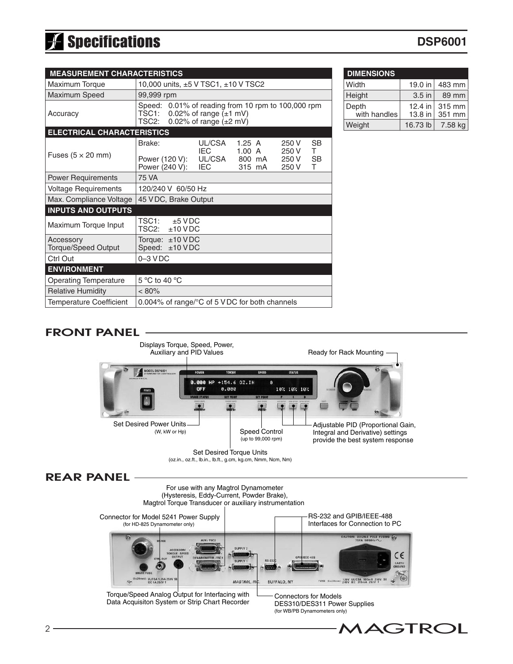# Specifications

## **DSP6001**

| <b>MEASUREMENT CHARACTERISTICS</b>      |                                                                                                                                                                                                 |  |  |  |  |
|-----------------------------------------|-------------------------------------------------------------------------------------------------------------------------------------------------------------------------------------------------|--|--|--|--|
| <b>Maximum Torque</b>                   | 10,000 units, ±5 V TSC1, ±10 V TSC2                                                                                                                                                             |  |  |  |  |
| Maximum Speed                           | 99,999 rpm                                                                                                                                                                                      |  |  |  |  |
| Accuracy                                | 0.01% of reading from 10 rpm to 100,000 rpm<br>Speed:<br>TSC1:<br>0.02% of range $(\pm 1$ mV)<br>TSC2:<br>0.02% of range $(\pm 2$ mV)                                                           |  |  |  |  |
| <b>ELECTRICAL CHARACTERISTICS</b>       |                                                                                                                                                                                                 |  |  |  |  |
| Fuses $(5 \times 20 \text{ mm})$        | Brake:<br>UL/CSA<br><b>SB</b><br>1.25A<br>250 V<br>T.<br>IEC.<br>1.00 A<br>250 V<br>UL/CSA<br><b>SB</b><br>Power (120 V):<br>800 mA<br>250 V<br>Power (240 V):<br>T.<br>IEC.<br>315 mA<br>250 V |  |  |  |  |
| <b>Power Requirements</b>               | 75 VA                                                                                                                                                                                           |  |  |  |  |
| <b>Voltage Requirements</b>             | 120/240 V 60/50 Hz                                                                                                                                                                              |  |  |  |  |
| Max. Compliance Voltage                 | 45 VDC, Brake Output                                                                                                                                                                            |  |  |  |  |
| <b>INPUTS AND OUTPUTS</b>               |                                                                                                                                                                                                 |  |  |  |  |
| Maximum Torque Input                    | TSC1:<br>$±5$ VDC<br>TSC2:<br>$±10$ VDC                                                                                                                                                         |  |  |  |  |
| Accessory<br><b>Torque/Speed Output</b> | Torque: $\pm 10$ VDC<br>Speed:<br>$±10$ VDC                                                                                                                                                     |  |  |  |  |
| Ctrl Out                                | $0 - 3$ VDC                                                                                                                                                                                     |  |  |  |  |
| <b>ENVIRONMENT</b>                      |                                                                                                                                                                                                 |  |  |  |  |
| <b>Operating Temperature</b>            | 5 °C to 40 °C                                                                                                                                                                                   |  |  |  |  |
| <b>Relative Humidity</b>                | $< 80\%$                                                                                                                                                                                        |  |  |  |  |
| <b>Temperature Coefficient</b>          | 0.004% of range/°C of 5 V DC for both channels                                                                                                                                                  |  |  |  |  |

| <b>DIMENSIONS</b>     |                      |                    |  |  |
|-----------------------|----------------------|--------------------|--|--|
| Width                 | 19.0 in              | 483 mm             |  |  |
| Height                | $3.5$ in             | 89 mm              |  |  |
| Depth<br>with handles | $12.4$ in<br>13.8 in | $315$ mm<br>351 mm |  |  |
| Weight                | 16.73 lb             | $7.58$ kg          |  |  |

### FRONT PANEL



### REAR PANEL

For use with any Magtrol Dynamometer (Hysteresis, Eddy-Current, Powder Brake), Magtrol Torque Transducer or auxiliary instrumentation



DES310/DES311 Power Supplies (for WB/PB Dynamometers only)

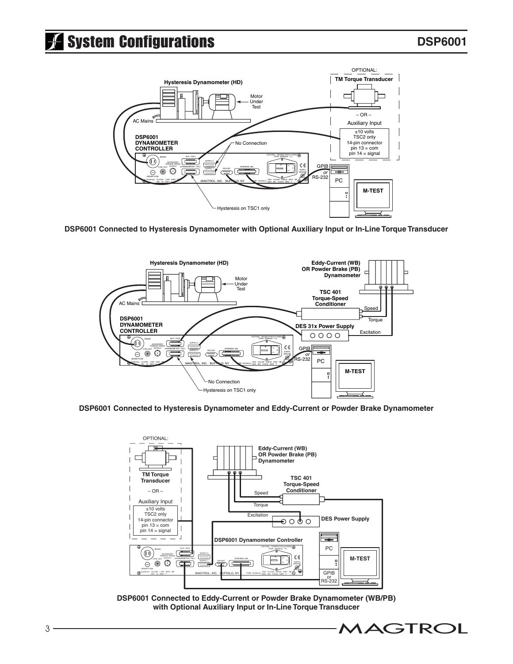

**DSP6001 Connected to Hysteresis Dynamometer with Optional Auxiliary Input or In-Line Torque Transducer**



**DSP6001 Connected to Hysteresis Dynamometer and Eddy-Current or Powder Brake Dynamometer**



**DSP6001 Connected to Eddy-Current or Powder Brake Dynamometer (WB/PB) with Optional Auxiliary Input or In-Line Torque Transducer**

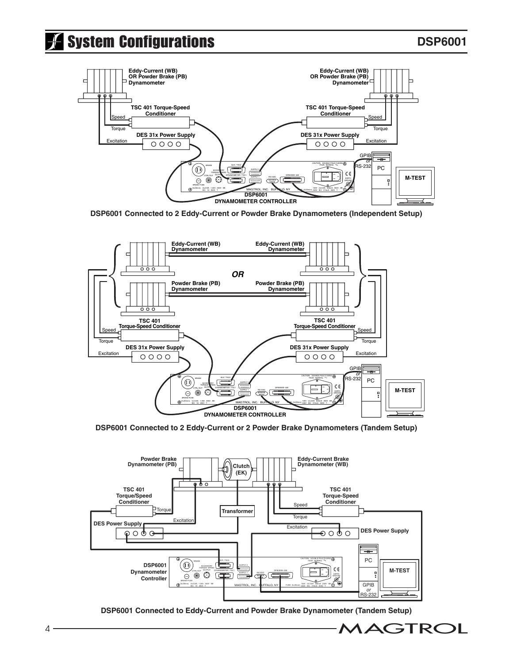# **System Configurations**



**DSP6001 Connected to 2 Eddy-Current or Powder Brake Dynamometers (Independent Setup)**



**DSP6001 Connected to 2 Eddy-Current or 2 Powder Brake Dynamometers (Tandem Setup)**



**DSP6001 Connected to Eddy-Current and Powder Brake Dynamometer (Tandem Setup)**

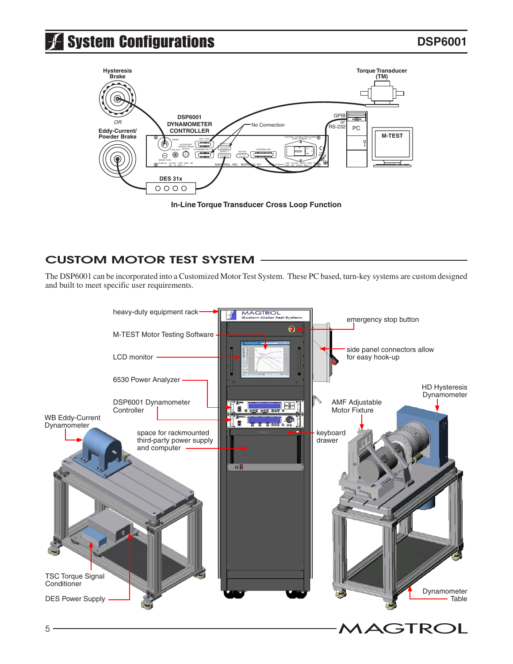

**In-Line Torque Transducer Cross Loop Function**

## CUSTOM MOTOR TEST SYSTEM

The DSP6001 can be incorporated into a Customized Motor Test System. These PC based, turn-key systems are custom designed and built to meet specific user requirements.